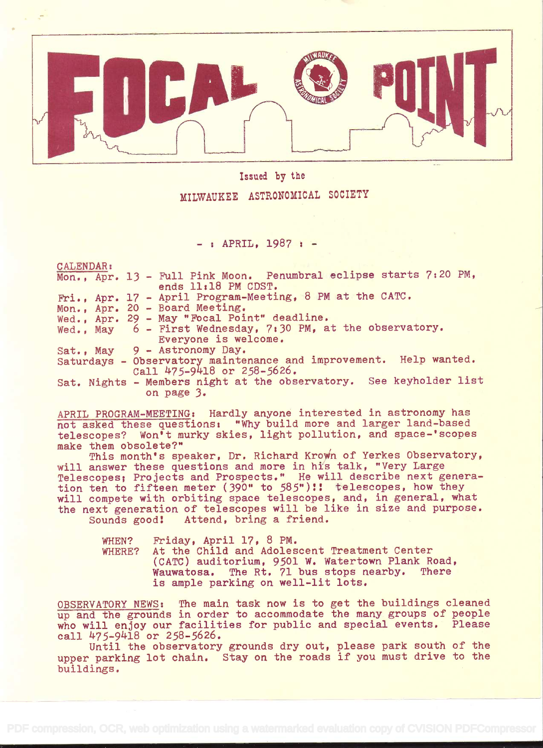

#### Issued by the

### MILWAUKEE ASTRONOMICAL SOCIETY

 $-$  : APRIL, 1987 :  $-$ 

CALENDAR:

|  | Mon., Apr. 13 - Full Pink Moon. Penumbral eclipse starts 7:20 PM,  |
|--|--------------------------------------------------------------------|
|  | ends 11:18 PM CDST.                                                |
|  | Fri., Apr. 17 - April Program-Meeting, 8 PM at the CATC.           |
|  | Mon., Apr. 20 - Board Meeting.                                     |
|  | Wed., Apr. 29 - May "Focal Point" deadline.                        |
|  | Wed., May 6 - First Wednesday, 7:30 PM, at the observatory.        |
|  | Everyone is welcome.                                               |
|  | Sat., May 9 - Astronomy Day.                                       |
|  | Saturdays - Observatory maintenance and improvement. Help wanted.  |
|  | Call 475-9418 or 258-5626.                                         |
|  | Sat. Nights - Members night at the observatory. See keyholder list |
|  | on page 3.                                                         |

APRIL PROGRAM-MEETING: Hardly anyone interested in astronomy has not asked these questions: "Why build more and larger land-based telescopes? Won't murky skies, light pollution, and space-'scopes make them obsolete?"

This month's speaker, Dr. Richard Krown of Yerkes Observatory, will answer these questions and more in his talk, "Very Large Telescopes; Projects and Prospects.' He will describe next genera-. tion ten to fifteen meter (390" to 585")!! telescopes, how they will compete with orbiting space telescopes, and, in general, what the next generation of telescopes will be like in size and purpose.<br>Sounds good! Attend, bring a friend. Attend, bring a friend.

| <b>WHEN?</b> | Friday, April 17, 8 PM.                          |
|--------------|--------------------------------------------------|
| WHERE?       | At the Child and Adolescent Treatment Center     |
|              | (CATC) auditorium, 9501 W. Watertown Plank Road, |
|              | Wauwatosa. The Rt. 71 bus stops nearby. There    |
|              | is ample parking on well-lit lots.               |

OBSERVATORY NEWS: The main task now is to get the buildings cleaned up and the grounds in order to accommodate the many groups of people who will enjoy our facilities for public and special events. Please call  $475-9418$  or  $258-5626$ .

Until the observatory grounds dry out, please park south of the upper parking lot chain. Stay on the roads if you must drive to the buildings.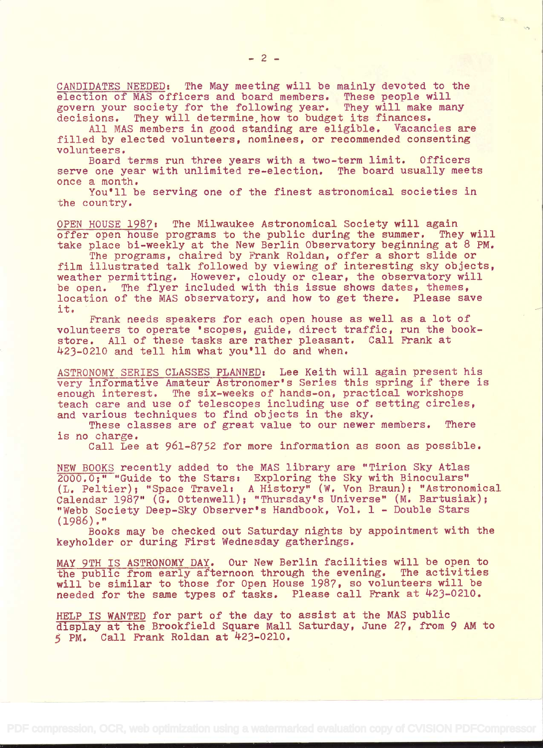CANDIDATES NEEDED: The May meeting will be mainly devoted to the election of MAS officers and board members. These people will govern your society for the following year. They will make many decisions. They will determine how to budget its finances.

All MAS members in good standing are eligible. Vacancies are filled by elected volunteers, nominees, or recommended consenting volunteers.

Board terms run three years with a two-term limit. Officers serve one year with unlimited re-election. The board usually meets once a month.

You'll be serving one of the finest astronomical societies in the country.

OPEN HOUSE 1987: The Milwaukee Astronomical Society will again offer open house programs to the public during the summer. They will take place bi-weekly at the New Berlin Observatory beginning at 8 PM.

The programs, chaired by Frank Roldan, offer a short slide or film illustrated talk followed by viewing of interesting sky objects, weather permitting. However, cloudy or clear, the observatory will be open. The flyer included with this issue shows dates, themes, location of the MAS observatory, and how to get there. Please save it.

Frank needs speakers for each open house as well as a lot of volunteers to operate 'scopes, guide, direct traffic, run the bookstore. All of these tasks are rather pleasant. Call Frank at )4.23-0210 and tell him what you'll do and when.

ASTRONOMY SERIES CLASSES PLANNED: Lee Keith will again present his very informative Amateur Astronomer's Series this spring if there is enough interest. The six-weeks of hands-on, practical workshops teach care and use of telescopes including use of setting circles, and various techniques to find objects in the sky.

These classes are of great value to our newer members. There is no charge.

Call Lee at 961-8752 for more information as soon as possible.

NEW BOOKS recently added to the MAS library are "Tirion Sky Atlas 2000.0;" "Guide to the Stars: Exploring the Sky with Binoculars" (L. Peltier); "Space Travel: A History" (W. Von Braun); "Astronomical Calendar 1987" (G. Ottenwell); "Thursday's Universe" (M. Bartusiak); "Webb Society Deep-Sky Observer's Handbook, Vol. 1 - Double Stars (1986)."

Books may be checked out Saturday nights by appointment with the keyholder or during First Wednesday gatherings.

MAY 9TH IS ASTRONOMY DAY. Our New Berlin facilities will be open to the public from early afternoon through the evening. The activities will be similar to those for Open House 1987, so volunteers will be needed for the same types of tasks. Please call Frank at 423-0210.

HELP IS WANTED for part of the day to assist at the MAS public display at the Brookfield Square Mall Saturday, June 27, from 9 AM to  $5$  PM. Call Frank Roldan at  $423-0210$ .

 $\sqrt{\gamma}$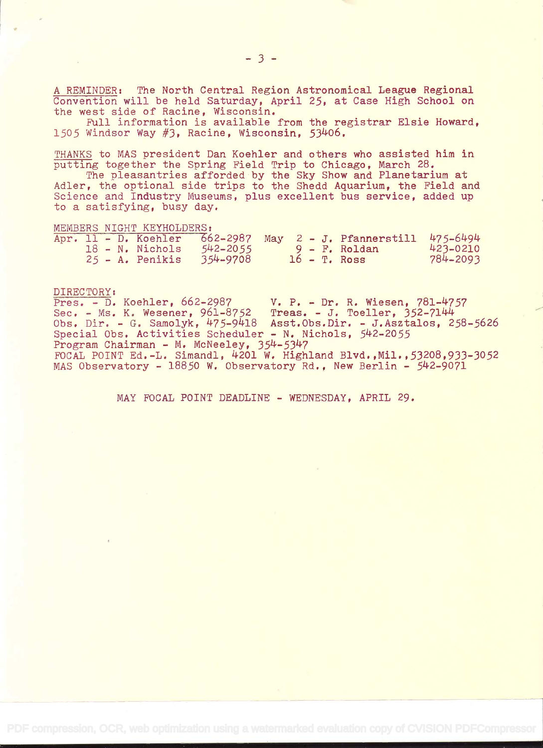A REMINDER: The North Central Region Astronomical League Regional Convention will be held Saturday, April 25, at Case High School on the west side of Racine, Wisconsin.

Full information is available from the registrar Elsie Howard, 1505 Windsor Way  $#3$ , Racine, Wisconsin, 53406.

TRANKS to MAS president Dan Koehier and others who assisted him in putting together the Spring Field Trip to Chicago, March 28.

The pleasantries afforded by the Sky Show and Planetarium at Adler, the optional side trips to the Shedd Aquarium, the Field and Science and Industry Museums, plus excellent bus service, added up to a satisfying, busy day,

MEMBERS NIGHT KEYHOLDERS:

|  |  |                          |  |  | Apr. 11 - D. Koehler 662-2987 May 2 - J. Pfannerstill 475-6494 |          |
|--|--|--------------------------|--|--|----------------------------------------------------------------|----------|
|  |  | 18 - N. Nichols 542-2055 |  |  | $9 - F$ . Roldan                                               | 423-0210 |
|  |  | 25 - A. Penikis 354-9708 |  |  | $16$ - T. Ross                                                 | 784-2093 |

DIRECTORY:<br>Pres. - D. Koehler, 662-2987 V. P. - Dr. R. Wiesen, 781-4757<br>Treas. - J. Toeller, 352-7144 Sec. - Ms. K. Wesener,  $961-8752$ Obs. Dir. - G. Samolyk, 475-9418 Asst.Obs.Dir. - J.Asztalos, 258-5626 Special Obs. Activities Scheduler - N. Nichols, 542-2055 Program Chairman - M. McNeeiey, 354-5347 FOCAL POINT Ed.-L. Simandi, 4201 W. Highland Blvd. Mii. 53208,933-3052 MAS Observatory - 18850 W. Observatory Rd., New Berlin - 542-9071

MAY FOCAL POINT DEADLINE - WEDNESDAY, APRIL 29.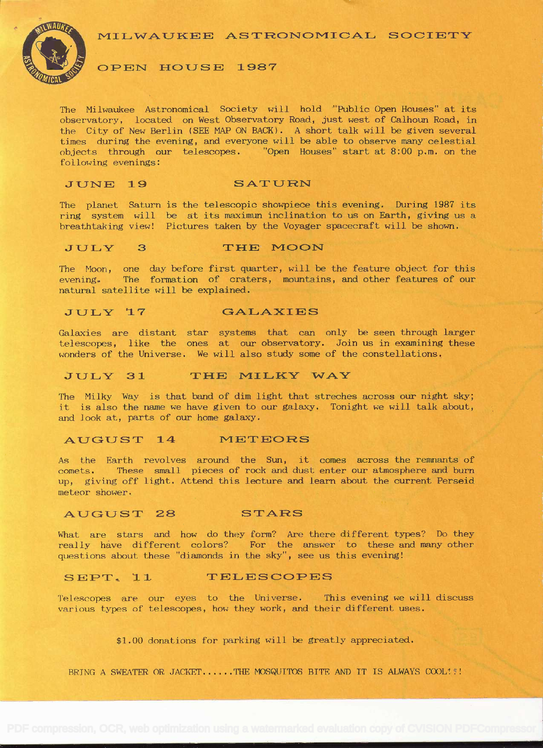MILWAUKEE ASTRONOMICAL SOCIETY



#### OPEN HOUSE 1987

The Milwaukee Astronomical Society will hold "Public Open Houses" at its observatory, located on West Observatory Road, just west of Calhoun Road, in the City of New Berlin (SEE MAP ON BACK). A short talk will be given several times during the evening, and everyone will be able to observe many celestial objects through our telescopes. "Open Houses" start at 8:00 p.m. on the following evenings:

### JUNE 19 SATURN

The planet Saturn is the telescopic showpiece this evening. During 1987 its ring system will be at its maximun inclination to us on Earth, giving us a breathtaking view! Pictures taken by the Voyager spacecraft will be shown.

#### JULY 3 THE MOON

The Moon, one day before first quarter, will be the feature object for this evening. The formation of craters, mountains, and other features of our natural satellite will be explained.

#### JULY 17 GALAXIES

Galaxies are distant star systems that can only be seen through larger telescopes, like the ones at our observatory. Join us in examining these wonders of the Universe. We will also study some of the constellations.

#### JULY 31 THE MILKY WAY

The Milky Way is that band of dim light that streches across our night sky; it is also the name we have given to our galaxy. Tonight we will talk about, and look at, parts of our home galaxy.

#### AUGUST 14 METEORS

As the Earth revolves around the Sun, it comes across the remnants of comets. These small pieces of rock and dust enter our atmosphere and burn up, giving off light. Attend this lecture and learn about the current Perseid meteor shower.

#### AUGUST 28 STARS

What are stars and how do they form? Are there different types? Do they really have different colors? For the answer to these and many other questions about these "diamonds in the sky", see us this evening!

#### SEPT. 11 TELESCOPES

Telescopes are our eyes to the Universe, This evening we will discuss various types of telescopes, how they work, and their different uses.

\$1.00 donations for parking will be greatly appreciated.

BRING A SWEATER OR JACKET......THE MOSQUITOS BITE AND IT IS ALWAYS COOL!"!